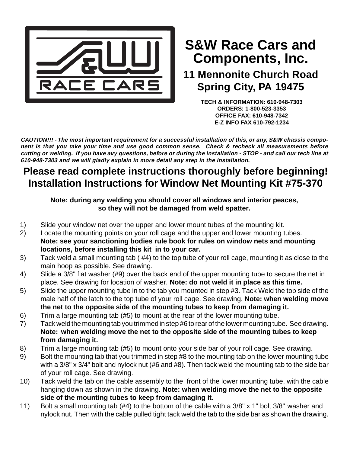

# **Components, Inc. S&W Race Cars and**

## **11 Mennonite Church Road Spring City, PA 19475**

**TECH & INFORMATION: 610-948-7303 ORDERS: 1-800-523-3353 OFFICE FAX: 610-948-7342 E-Z INFO FAX 610-792-1234**

**CAUTION!!! - The most important requirement for a successful installation of this, or any, S&W chassis component is that you take your time and use good common sense. Check & recheck all measurements before cutting or welding. If you have avy questions, before or during the installation - STOP - and call our tech line at 610-948-7303 and we will gladly explain in more detail any step in the installation.**

### **Please read complete instructions thoroughly before beginning! Installation Instructions for Window Net Mounting Kit #75-370**

#### **Note: during any welding you should cover all windows and interior peaces, so they will not be damaged from weld spatter.**

- 1) Slide your window net over the upper and lower mount tubes of the mounting kit.
- 2) Locate the mounting points on your roll cage and the upper and lower mounting tubes. **Note: see your sanctioning bodies rule book for rules on window nets and mounting locations, before installing this kit in to your car.**
- 3) Tack weld a small mounting tab ( #4) to the top tube of your roll cage, mounting it as close to the main hoop as possible. See drawing.
- 4) Slide a 3/8" flat washer (#9) over the back end of the upper mounting tube to secure the net in place. See drawing for location of washer. **Note: do not weld it in place as this time.**
- 5) Slide the upper mounting tube in to the tab you mounted in step #3. Tack Weld the top side of the male half of the latch to the top tube of your roll cage. See drawing. **Note: when welding move the net to the opposite side of the mounting tubes to keep from damaging it.**
- 6) Trim a large mounting tab (#5) to mount at the rear of the lower mounting tube.
- 7) Tack weld the mounting tab you trimmed in step #6 to rear of the lower mounting tube. See drawing. **Note: when welding move the net to the opposite side of the mounting tubes to keep from damaging it.**
- 8) Trim a large mounting tab (#5) to mount onto your side bar of your roll cage. See drawing.
- 9) Bolt the mounting tab that you trimmed in step #8 to the mounting tab on the lower mounting tube with a 3/8" x 3/4" bolt and nylock nut (#6 and #8). Then tack weld the mounting tab to the side bar of your roll cage. See drawing.
- 10) Tack weld the tab on the cable assembly to the front of the lower mounting tube, with the cable hanging down as shown in the drawing. **Note: when welding move the net to the opposite side of the mounting tubes to keep from damaging it.**
- 11) Bolt a small mounting tab (#4) to the bottom of the cable with a 3/8" x 1" bolt 3/8" washer and nylock nut. Then with the cable pulled tight tack weld the tab to the side bar as shown the drawing.